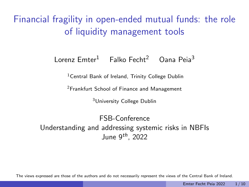<span id="page-0-1"></span><span id="page-0-0"></span>Financial fragility in open-ended mutual funds: the role of liquidity management tools

#### Lorenz  $Emter<sup>1</sup>$  Falko Fecht<sup>2</sup> Oana Peia<sup>3</sup>

<sup>1</sup> Central Bank of Ireland, Trinity College Dublin

<sup>2</sup>Frankfurt School of Finance and Management

<sup>3</sup>University College Dublin

FSB-Conference Understanding and addressing systemic risks in NBFIs June  $9^{th}$ , 2022

The views expressed are those of the authors and do not necessarily represent the views of the Central Bank of Ireland.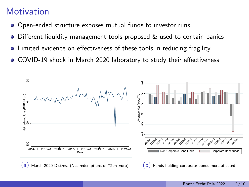### **Motivation**

- Open-ended structure exposes mutual funds to investor runs  $\bullet$
- Different liquidity management tools proposed & used to contain panics  $\bullet$
- Limited evidence on effectiveness of these tools in reducing fragility  $\bullet$
- COVID-19 shock in March 2020 laboratory to study their effectiveness  $\bullet$



 $(b)$  Funds holding corporate bonds more affected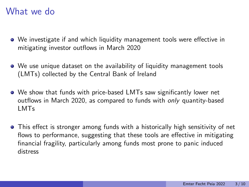#### What we do

- We investigate if and which liquidity management tools were effective in mitigating investor outflows in March 2020
- We use unique dataset on the availability of liquidity management tools (LMTs) collected by the Central Bank of Ireland
- We show that funds with price-based LMTs saw significantly lower net outflows in March 2020, as compared to funds with only quantity-based LMTs
- This effect is stronger among funds with a historically high sensitivity of net flows to performance, suggesting that these tools are effective in mitigating financial fragility, particularly among funds most prone to panic induced distress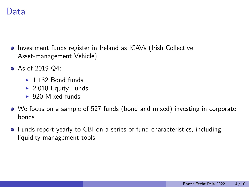#### Data

- **•** Investment funds register in Ireland as ICAVs (Irish Collective Asset-management Vehicle)
- As of 2019 Q4:
	- $\blacktriangleright$  1,132 Bond funds
	- $\blacktriangleright$  2,018 Equity Funds
	- $\blacktriangleright$  920 Mixed funds
- We focus on a sample of 527 funds (bond and mixed) investing in corporate bonds
- Funds report yearly to CBI on a series of fund characteristics, including liquidity management tools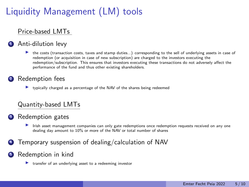# Liquidity Management (LM) tools

#### Price-based LMTs

#### Anti-dilution levy

 $\triangleright$  the costs (transaction costs, taxes and stamp duties...) corresponding to the sell of underlying assets in case of redemption (or acquisition in case of new subscription) are charged to the investors executing the redemption/subscription. This ensures that investors executing these transactions do not adversely affect the performance of the fund and thus other existing shareholders.

#### Redemption fees

Intervally charged as a percentage of the NAV of the shares being redeemed

#### Quantity-based LMTs

#### <sup>3</sup> Redemption gates

- Irish asset management companies can only gate redemptions once redemption requests received on any one dealing day amount to 10% or more of the NAV or total number of shares
- <sup>4</sup> Temporary suspension of dealing/calculation of NAV

#### <sup>5</sup> Redemption in kind

 $\blacktriangleright$  transfer of an underlying asset to a redeeming investor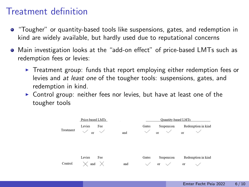### Treatment definition

- "Tougher" or quantity-based tools like suspensions, gates, and redemption in kind are widely available, but hardly used due to reputational concerns
- Main investigation looks at the "add-on effect" of price-based LMTs such as redemption fees or levies:
	- $\triangleright$  Treatment group: funds that report employing either redemption fees or levies and at least one of the tougher tools: suspensions, gates, and redemption in kind.
	- $\triangleright$  Control group: neither fees nor levies, but have at least one of the tougher tools

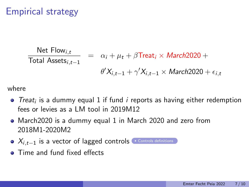### <span id="page-6-0"></span>Empirical strategy

$$
\frac{\text{Net Flow}_{i,t}}{\text{Total Assets}_{i,t-1}} = \alpha_i + \mu_t + \beta \text{Treat}_i \times \text{March2020} +
$$
\n
$$
\theta' X_{i,t-1} + \gamma' X_{i,t-1} \times \text{March2020} + \epsilon_{i,t}
$$

where

- Treat<sub>i</sub> is a dummy equal 1 if fund  $i$  reports as having either redemption fees or levies as a LM tool in 2019M12
- March2020 is a dummy equal 1 in March 2020 and zero from 2018M1-2020M2
- $\bullet$   $X_{i,t-1}$  is a vector of lagged controls  $\bullet$  [Controls definitions](#page-0-0)
- Time and fund fixed effects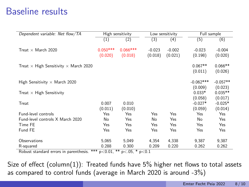#### Baseline results

| Dependent variable: Net flow/TA                     |                  | High sensitivity |                  | Low sensitivity | Full sample      |            |  |
|-----------------------------------------------------|------------------|------------------|------------------|-----------------|------------------|------------|--|
|                                                     | $\left(1\right)$ | (2)              | $\left(3\right)$ | (4)             | $(\overline{5})$ | (6)        |  |
|                                                     |                  |                  |                  |                 |                  |            |  |
| Treat $\times$ March 2020                           | $0.050***$       | $0.066***$       | $-0.023$         | $-0.002$        | $-0.023$         | $-0.004$   |  |
|                                                     | (0.020)          | (0.018)          | (0.018)          | (0.021)         | (0.198)          | (0.020)    |  |
| Treat $\times$ High Sensitivity $\times$ March 2020 |                  |                  |                  |                 | $0.067**$        | $0.066**$  |  |
|                                                     |                  |                  |                  |                 | (0.011)          | (0.026)    |  |
|                                                     |                  |                  |                  |                 |                  |            |  |
| High Sensitivity $\times$ March 2020                |                  |                  |                  |                 | $-0.062***$      | $-0.057**$ |  |
|                                                     |                  |                  |                  |                 | (0.009)          | (0.023)    |  |
| Treat $\times$ High Sensitivity                     |                  |                  |                  |                 | $0.033*$         | $0.035**$  |  |
|                                                     |                  |                  |                  |                 | (0.058)          | (0.017)    |  |
| Treat                                               | 0.007            | 0.010            |                  |                 | $-0.027*$        | $-0.025*$  |  |
|                                                     | (0.011)          | (0.010)          |                  |                 | (0.059)          | (0.014)    |  |
| <b>Fund-level controls</b>                          | Yes              | Yes              | Yes              | Yes             | Yes              | Yes        |  |
| Fund-level controls X March 2020                    | No               | Yes              | No               | Yes             | No               | Yes        |  |
| Time FE                                             | Yes              | Yes              | Yes              | Yes             | Yes              | Yes        |  |
| Fund FE                                             | Yes              | Yes              | Yes              | Yes             | Yes              | Yes        |  |
|                                                     |                  |                  |                  |                 |                  |            |  |
| Observations                                        | 5,065            | 5.049            | 4,354            | 4,338           | 9,387            | 9,387      |  |
| R-squared                                           | 0.288            | 0.300            | 0.209            | 0.220           | 0.262            | 0.262      |  |

Robust standard errors in parenthesis. \*\*\*  $p<0.01$ , \*\*  $p<.05$ , \*  $p<0.1$ 

Size of effect (column(1)): Treated funds have  $5\%$  higher net flows to total assets as compared to control funds (average in March 2020 is around -3%)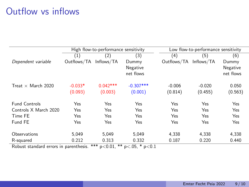### Outflow vs inflows

|                           |             | High flow-to-performance sensitivity      |                                      | Low flow-to-performance sensitivity |            |            |  |  |  |
|---------------------------|-------------|-------------------------------------------|--------------------------------------|-------------------------------------|------------|------------|--|--|--|
|                           | (1)         | (2)                                       | (3)                                  | (4)                                 | (5)        | (6)        |  |  |  |
| Dependent variable        | Outflows/TA | Inflows/TA                                | Dummy                                | Outflows/TA                         | Inflows/TA | Dummy      |  |  |  |
|                           |             |                                           | Negative                             |                                     |            | Negative   |  |  |  |
|                           |             |                                           | net flows                            |                                     |            | net flows  |  |  |  |
| Treat $\times$ March 2020 | $-0.033*$   | $0.042***$                                | $-0.307***$                          | $-0.006$                            | $-0.020$   | 0.050      |  |  |  |
|                           | (0.093)     | (0.003)                                   | (0.001)                              | (0.814)                             | (0.455)    | (0.563)    |  |  |  |
| <b>Fund Controls</b>      | Yes         | Yes                                       | Yes                                  | Yes                                 | Yes        | Yes        |  |  |  |
| Controls X March 2020     | Yes         | Yes                                       | Yes                                  | Yes                                 | Yes        | Yes        |  |  |  |
| Time FE                   | Yes         | Yes                                       | Yes                                  | Yes                                 | Yes        | <b>Yes</b> |  |  |  |
| Fund FE                   | Yes         | Yes                                       | Yes                                  | Yes                                 | Yes        | Yes        |  |  |  |
| Observations              | 5.049       | 5.049                                     | 5.049                                | 4,338                               | 4,338      | 4,338      |  |  |  |
| R-squared                 | 0.212       | 0.313                                     | 0.332                                | 0.187                               | 0.220      | 0.440      |  |  |  |
| <b>PULLER</b>             | $\sim$ 1.   | ت به ب<br>مله مله<br>$\sim$ $\sim$ $\sim$ | $\sim  \sim$<br>$\sim$ $\sim$ $\sim$ |                                     |            |            |  |  |  |

Robust standard errors in parenthesis. \*\*\*  $p < 0.01$ , \*\*  $p < .05$ , \*  $p < 0.1$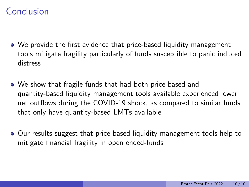### Conclusion

- We provide the first evidence that price-based liquidity management tools mitigate fragility particularly of funds susceptible to panic induced distress
- We show that fragile funds that had both price-based and quantity-based liquidity management tools available experienced lower net outflows during the COVID-19 shock, as compared to similar funds that only have quantity-based LMTs available
- Our results suggest that price-based liquidity management tools help to mitigate financial fragility in open ended-funds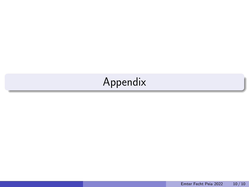# Appendix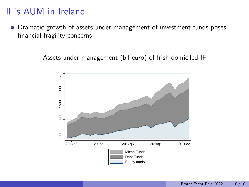### IF's AUM in Ireland

• Dramatic growth of assets under management of investment funds poses financial fragility concerns

Assets under management (bil euro) of Irish-domiciled IF

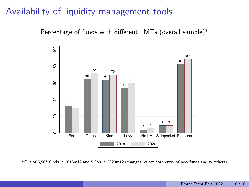#### Availability of liquidity management tools

Percentage of funds with different LMTs (overall sample)\*



\*Out of 5,506 funds in 2018m12 and 5,869 in 2020m12 (changes reflect both entry of new funds and switchers)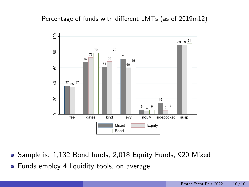#### Percentage of funds with different LMTs (as of 2019m12)



- Sample is: 1,132 Bond funds, 2,018 Equity Funds, 920 Mixed  $\bullet$
- Funds employ 4 liquidity tools, on average.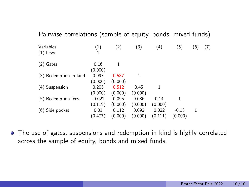| Pairwise correlations (sample of equity, bonds, mixed funds) |                     |                  |                  |                  |                    |     |     |
|--------------------------------------------------------------|---------------------|------------------|------------------|------------------|--------------------|-----|-----|
| Variables<br>$(1)$ Levy                                      | (1)<br>1            | (2)              | (3)              | (4)              | (5)                | (6) | (7) |
| $(2)$ Gates                                                  | 0.16<br>(0.000)     | 1                |                  |                  |                    |     |     |
| (3) Redemption in kind                                       | 0.097<br>(0.000)    | 0.587<br>(0.000) | 1                |                  |                    |     |     |
| (4) Suspension                                               | 0.205<br>(0.000)    | 0.512<br>(0.000) | 0.45<br>(0.000)  | 1                |                    |     |     |
| (5) Redemption fees                                          | $-0.021$<br>(0.119) | 0.095<br>(0.000) | 0.086<br>(0.000) | 0.14<br>(0.000)  | 1                  |     |     |
| (6) Side pocket                                              | 0.01<br>(0.477)     | 0.112<br>(0.000) | 0.092<br>(0.000) | 0.022<br>(0.111) | $-0.13$<br>(0.000) | 1   |     |

The use of gates, suspensions and redemption in kind is highly correlated across the sample of equity, bonds and mixed funds.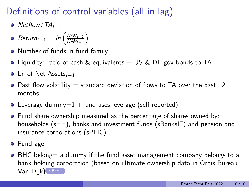# Definitions of control variables (all in lag)

- $\bullet$  Netflow /  $TA_{t-1}$
- $Return_{t-1} = ln\left(\frac{NAV_{t-1}}{NAV_{t-2}}\right)$  $\frac{\mathsf{NAV}_{t-1}}{\mathsf{NAV}_{t-2}}\bigg)$
- Number of funds in fund family
- Liquidity: ratio of cash & equivalents  $+$  US & DE gov bonds to TA
- **o** Ln of Net Assets<sub>t−1</sub>
- $\bullet$  Past flow volatility  $=$  standard deviation of flows to TA over the past 12 months
- Leverage dummy=1 if fund uses leverage (self reported)
- Fund share ownership measured as the percentage of shares owned by: households (sHH), banks and investment funds (sBanksIF) and pension and insurance corporations (sPFIC)
- **•** Fund age
- BHC belong = a dummy if the fund asset management company belongs to a bank holding corporation (based on ultimate ownership data in Orbis Bureau  $Van$   $Dijk$   $Back$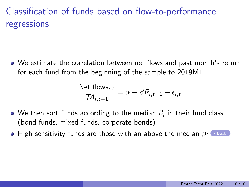## Classification of funds based on flow-to-performance regressions

We estimate the correlation between net flows and past month's return for each fund from the beginning of the sample to 2019M1

$$
\frac{\text{Net flows}_{i,t}}{TA_{i,t-1}} = \alpha + \beta R_{i,t-1} + \epsilon_{i,t}
$$

- We then sort funds according to the median  $\beta_i$  in their fund class (bond funds, mixed funds, corporate bonds)
- High sensitivity funds are those with an above the median  $\beta_i$   $\blacktriangleright$  [Back](#page-0-0)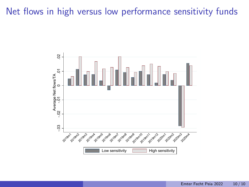#### Net flows in high versus low performance sensitivity funds

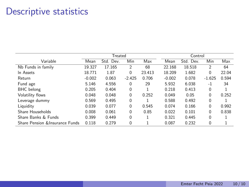### Descriptive statistics

|                                 |          | Treated   |          |        | Control  |           |          |       |
|---------------------------------|----------|-----------|----------|--------|----------|-----------|----------|-------|
| Variable                        | Mean     | Std. Dev. | Min      | Max    | Mean     | Std. Dev. | Min      | Max   |
| Nb Funds in family              | 19.327   | 17.165    | 2        | 68     | 22.168   | 18.518    | 2        | 64    |
| In Assets                       | 18.771   | 1.87      | 0        | 23.413 | 18.209   | 1.682     | $\Omega$ | 22.04 |
| Return                          | $-0.002$ | 0.063     | $-2.425$ | 0.706  | $-0.002$ | 0.078     | $-1.625$ | 0.594 |
| Fund age                        | 5.146    | 4.556     | 0        | 29     | 5.932    | 6.038     | $-1$     | 34    |
| <b>BHC</b> belong               | 0.205    | 0.404     | $\Omega$ |        | 0.218    | 0.413     | $\Omega$ |       |
| Volatility flows                | 0.048    | 0.048     | 0        | 0.252  | 0.049    | 0.05      | $\Omega$ | 0.252 |
| Leverage dummy                  | 0.569    | 0.495     | 0        |        | 0.588    | 0.492     | 0        |       |
| Liquidity                       | 0.039    | 0.077     | 0        | 0.545  | 0.074    | 0.166     | $\Omega$ | 0.992 |
| Share Households                | 0.008    | 0.061     | 0        | 0.85   | 0.022    | 0.101     | $\Omega$ | 0.838 |
| Share Banks & Funds             | 0.399    | 0.449     | 0        |        | 0.321    | 0.445     | $\Omega$ |       |
| Share Pension & Insurance Funds | 0.118    | 0.279     | 0        |        | 0.087    | 0.232     | $\Omega$ |       |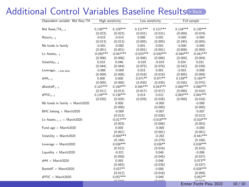#### Additional Control Variables Baseline Results

| Dependent variable: Net flow/TA       |             | High sensitivity |             | Low sensitivity |             | Full sample                      |  |
|---------------------------------------|-------------|------------------|-------------|-----------------|-------------|----------------------------------|--|
| Net flows/ $TA_{t-1}$                 | $0.136***$  | $0.129***$       | $0.121***$  | $0.121***$      | $0.134***$  | $0.130***$                       |  |
|                                       | (0.023)     | (0.023)          | (0.031)     | (0.031)         | (0.000)     | (0.019)                          |  |
| $Return_{t-1}$                        | $-0.015$    | $-0.014$         | 0.000       | 0.001           | $-0.005$    | $-0.004$                         |  |
|                                       | (0.013)     | (0.013)          | (0.005)     | (0.005)         | (0.345)     | (0.005)                          |  |
| Nb funds in family                    | $-0.001$    | $-0.000$         | 0.001       | 0.001           | $-0.000$    | $-0.000$                         |  |
|                                       | (0.001)     | (0.001)          | (0.001)     | (0.001)         | (0.808)     | (0.000)                          |  |
| $Ln$ Assets $t-1$                     | $-0.050***$ | $-0.047***$      | $-0.033***$ | $-0.030***$     | $-0.044***$ | $-0.041***$                      |  |
|                                       | (0.006)     | (0.006)          | (0.006)     | (0.006)         | (0.000)     | (0.004)                          |  |
| Volatility $t_{t-1}$                  | 0.033       | 0.046            | $-0.019$    | $-0.019$        | 0.024       | 0.031                            |  |
|                                       | (0.044)     | (0.044)          | (0.075)     | (0.076)         | (0.542)     | (0.039)                          |  |
| $Leverage_{t-+A34:A441}$              | $-0.006$    | $-0.009$         | 0.015       | 0.001           | $-0.001$    | $-0.008$                         |  |
|                                       | (0.009)     | (0.008)          | (0.018)     | (0.019)         | (0.905)     | (0.009)                          |  |
| $sHH_{t-1}$                           | 0.000       | 0.000            | $0.071**$   | $0.077**$       | $0.159**$   | $0.165**$                        |  |
|                                       | (0.000)     | (0.000)          | (0.030)     | (0.030)         | (0.035)     | (0.075)                          |  |
| $s$ Banksl $F_{t-1}$                  | $0.107***$  | $0.100***$       | $0.045***$  | $0.043***$      | $0.085***$  | $0.080***$                       |  |
|                                       | (0.011)     | (0.013)          | (0.017)     | (0.017)         | (0.000)     | (0.010)                          |  |
| $sPFIC_{t-1}$                         | $0.139***$  | $0.138***$       | 0.014       | 0.012           | $0.083***$  | $0.081***$                       |  |
|                                       | (0.020)     | (0.020)          | (0.029)     | (0.028)         | (0.000)     | (0.018)                          |  |
| Nb funds in family $\times$ March2020 |             | 0.000            |             | $-0.000$        |             | $-0.000$                         |  |
|                                       |             | (0.000)          |             | (0.000)         |             | (0.000)                          |  |
| BHC belong $\times$ March2020         |             | $-0.009$         |             | $-0.007$        |             | $-0.007$                         |  |
|                                       |             | (0.013)          |             | (0.026)         |             | (0.012)                          |  |
| Ln Assets $_{t-1}$ × March2020        |             | $-0.017***$      |             | $-0.018***$     |             | $-0.018***$                      |  |
|                                       |             | (0.003)          |             | (0.006)         |             | (0.003)                          |  |
| Fund age $\times$ March2020           |             | 0.000            |             | $-0.000$        |             | $-0.000$                         |  |
|                                       |             | (0.001)          |             | (0.001)         |             | (0.001)                          |  |
| Volatility $\times$ March2020         |             | $-0.600***$      |             | $-0.282$        |             | $-0.441***$                      |  |
|                                       |             | (0.184)          |             | (0.279)         |             | (0.168)                          |  |
| Leverage $\times$ March 2020          |             | $0.038***$       |             | $0.036**$       |             | $0.038***$                       |  |
|                                       |             | (0.012)          |             | (0.016)         |             | (0.010)                          |  |
| Liquidity $\times$ March2020          |             | $-0.021$         |             | 0.048           |             | $-0.006$                         |  |
|                                       |             | (0.058)          |             | (0.045)         |             | (0.037)                          |  |
| $sHH \times March2020$                |             | 0.093            |             | 0.048           |             | $0.073**$                        |  |
|                                       |             | (0.092)          |             | (0.035)         |             | (0.037)                          |  |
| BanksIF × March2020                   |             | $0.027**$        |             | 0.008           |             | $0.028***$                       |  |
|                                       |             | (0.012)          |             | (0.018)         |             | (0.009)                          |  |
| sPFIC × March2020                     |             | $0.057***$       |             | 0.049           |             | $0.052**$                        |  |
|                                       |             | (0.010)          |             | (0.012)         |             | (0.001)<br>Emter Fecht Peia 2022 |  |
|                                       |             |                  |             |                 |             |                                  |  |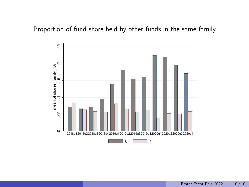#### Proportion of fund share held by other funds in the same family

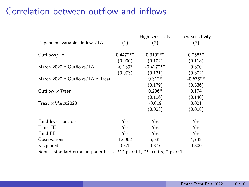#### Correlation between outflow and inflows

|                                                |              | High sensitivity | Low sensitivity |
|------------------------------------------------|--------------|------------------|-----------------|
| Dependent variable: Inflows/TA                 | (1)          | (2)              | (3)             |
| Outflows/TA                                    | $0.447***$   | $0.310***$       | $0.258**$       |
|                                                | (0.000)      | (0.102)          | (0.118)         |
| March $2020 \times$ Outflows/TA                | $-0.139*$    | $-0.417***$      | 0.370           |
|                                                | (0.073)      | (0.131)          | (0.302)         |
| March $2020 \times$ Outflows/TA $\times$ Treat |              | $0.312*$         | $-0.675**$      |
|                                                |              | (0.179)          | (0.336)         |
| Outflow $\times$ Treat                         |              | $0.206*$         | 0.174           |
|                                                |              | (0.116)          | (0.140)         |
| Treat $\times March2020$                       |              | $-0.019$         | 0.021           |
|                                                |              | (0.023)          | (0.018)         |
| Fund-level controls                            | Yes          | Yes              | Yes             |
|                                                |              |                  |                 |
| Time FE                                        | Yes          | Yes              | Yes             |
| Fund FE                                        | Yes          | Yes              | Yes             |
| Observations                                   | 12,062       | 5,538            | 4,732           |
| R-squared                                      | 0.375        | 0.377            | 0.300           |
| Dobuet standard orrors in naronthosis          | $*** -20.01$ | $** - 05 * -01$  |                 |

Robust standard errors in parenthesis.  $2 \cdot 4 \cdot 7 \cdot 9 \cdot 0.01$ ,  $2 \cdot 9 \cdot 0.05$ ,  $2 \cdot 9 \cdot 0.1$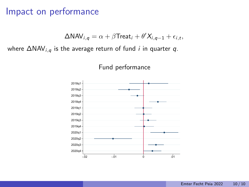#### Impact on performance

$$
\Delta \text{NAV}_{i,q} = \alpha + \beta \text{Treat}_i + \theta' X_{i,q-1} + \epsilon_{i,t},
$$

where  $\Delta NAV_{i,q}$  is the average return of fund *i* in quarter q.

Fund performance

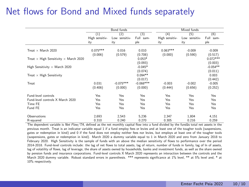### Net flows for Bond and Mixed funds separately

|                                                                                                                                          |                     | Bond funds        |              | Mixed funds    |               |              |  |  |
|------------------------------------------------------------------------------------------------------------------------------------------|---------------------|-------------------|--------------|----------------|---------------|--------------|--|--|
|                                                                                                                                          | $\scriptstyle{(1)}$ | $\left( 2\right)$ | (3)          | (4)            | (5)           | (6)          |  |  |
|                                                                                                                                          | High sensitiv-      | Low sensitiv-     | Full<br>sam- | High sensitiv- | Low sensitiv- | Full<br>sam- |  |  |
|                                                                                                                                          | ity                 | ity               | ple          | ity            | ity           | ple          |  |  |
| Treat $\times$ March 2020                                                                                                                | $0.075***$          | 0.016             | 0.010        | $0.063***$     | $-0.009$      | $-0.009$     |  |  |
|                                                                                                                                          | (0.006)             | (0.579)           | (0.708)      | (0.000)        | (0.590)       | (0.517)      |  |  |
| Treat $\times$ High Sensitivity $\times$ March 2020                                                                                      |                     |                   | $0.053*$     |                |               | $0.072***$   |  |  |
|                                                                                                                                          |                     |                   | (0.093)      |                |               | (0.003)      |  |  |
| High Sensitivity $\times$ March 2020                                                                                                     |                     |                   | $-0.045*$    |                |               | $-0.054**$   |  |  |
|                                                                                                                                          |                     |                   | (0.074)      |                |               | (0.011)      |  |  |
| Treat $\times$ High Sensitivity                                                                                                          |                     |                   | $0.094**$    |                |               | 0.003        |  |  |
|                                                                                                                                          |                     |                   | (0.017)      |                |               | (0.442)      |  |  |
| Treat                                                                                                                                    | 0.031               | $-0.075***$       | $-0.068***$  | $-0.003$       | $-0.002$      | $-0.005$     |  |  |
|                                                                                                                                          | (0.406)             | (0.000)           | (0.000)      | (0.444)        | (0.656)       | (0.252)      |  |  |
| Eund-level controls                                                                                                                      | Yes                 | Yes               | Yes          | Yes            | Yes           | Yes          |  |  |
| Fund-level controls X March 2020                                                                                                         | Yes                 | Yes               | Yes          | Yes            | Yes           | Yes          |  |  |
| Time FE                                                                                                                                  | Yes                 | Yes               | Yes          | Yes            | Yes           | Yes          |  |  |
| Fund FE                                                                                                                                  | Yes                 | Yes               | Yes          | Yes            | Yes           | Yes          |  |  |
| Observations                                                                                                                             | 2,693               | 2,543             | 5,236        | 2,347          | 1,804         | 4,151        |  |  |
| R-squared                                                                                                                                | 0.310               | 0.240             | 0.270        | 0.305          | 0.216         | 0.259        |  |  |
| The dependent variable is Net Flow/TA, defined as the net monthly capital flow into a fund divided by the fundâs total net assets in the |                     |                   |              |                |               |              |  |  |

previous month. Treat is an indicator variable equal 1 if a fund employ fees or levies and at least one of the tougher tools (suspensions, gates or redemption in kind) and 0 if the fund does not employ neither fees nor levies, but employs at least one of the tougher tools (suspensions, gates or redemption in kind). March 2020 a dummy variable equal to 1 in March 2020 and zero from January 2018 to February 2020. High Sensitivity is the sample of funds with an above the median sensitivity of flows to performance over the period 2014-2018. Fund-level controls include: the lag of net flows to total assets, lag of return, number of funds in family, lag of ln of assets, lag of volatility of flows, lag of leverage, the share of assets owned by households, banks and investment funds, as well as the share owned by pension funds and insurance corporations. Fund-level controls X March 2020 represents an interaction between the controls and the March 2020 dummy variable. Robust standard errors in parenthesis. \*\*\* represents significance at 1% level, \*\* at 5% level and, \* at 10% respectively.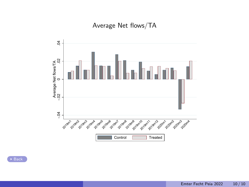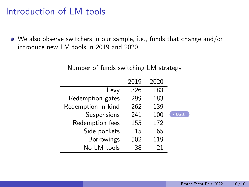### Introduction of LM tools

We also observe switchers in our sample, i.e., funds that change and/or introduce new LM tools in 2019 and 2020

|      | 2020 | 2019 |                    |
|------|------|------|--------------------|
|      | 183  | 326  | Levy               |
|      | 183  | 299  | Redemption gates   |
|      | 139  | 262  | Redemption in kind |
| Back | 100  | 241  | Suspensions        |
|      | 172  | 155  | Redemption fees    |
|      | 65   | 15   | Side pockets       |
|      | 119  | 502  | Borrowings         |
|      | 21   | 38   | No LM tools        |
|      |      |      |                    |

Number of funds switching LM strategy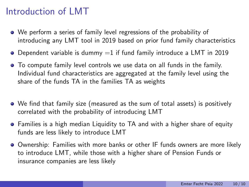### Introduction of LMT

- We perform a series of family level regressions of the probability of introducing any LMT tool in 2019 based on prior fund family characteristics
- $\bullet$  Dependent variable is dummy  $=1$  if fund family introduce a LMT in 2019
- To compute family level controls we use data on all funds in the family. Individual fund characteristics are aggregated at the family level using the share of the funds TA in the families TA as weights
- We find that family size (measured as the sum of total assets) is positively correlated with the probability of introducing LMT
- Families is a high median Liquidity to TA and with a higher share of equity funds are less likely to introduce LMT
- Ownership: Families with more banks or other IF funds owners are more likely to introduce LMT, while those with a higher share of Pension Funds or insurance companies are less likely